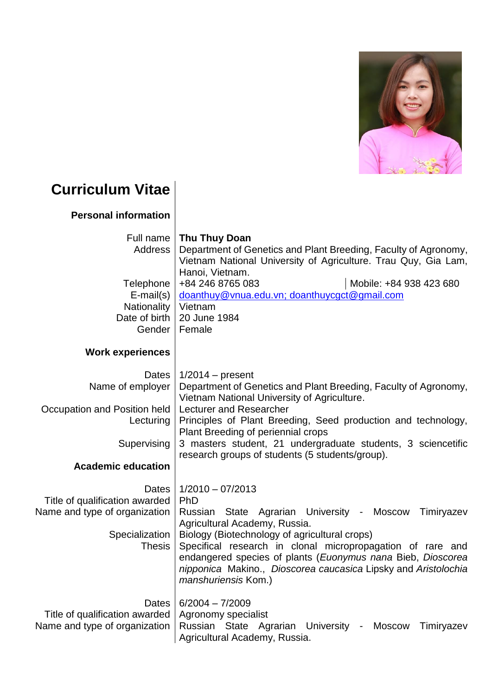

## **Curriculum Vitae**

## **Personal information**

| Full name<br>Address<br>Telephone<br>$E$ -mail $(s)$<br>Nationality                                         | Thu Thuy Doan<br>Department of Genetics and Plant Breeding, Faculty of Agronomy,<br>Vietnam National University of Agriculture. Trau Quy, Gia Lam,<br>Hanoi, Vietnam.<br>Mobile: +84 938 423 680<br>+84 246 8765 083<br>doanthuy@vnua.edu.vn; doanthuycgct@gmail.com<br>Vietnam                                                                                                               |
|-------------------------------------------------------------------------------------------------------------|-----------------------------------------------------------------------------------------------------------------------------------------------------------------------------------------------------------------------------------------------------------------------------------------------------------------------------------------------------------------------------------------------|
| Date of birth                                                                                               | 20 June 1984<br>Gender   Female                                                                                                                                                                                                                                                                                                                                                               |
| <b>Work experiences</b>                                                                                     |                                                                                                                                                                                                                                                                                                                                                                                               |
| <b>Dates</b><br>Name of employer                                                                            | $1/2014$ – present<br>Department of Genetics and Plant Breeding, Faculty of Agronomy,<br>Vietnam National University of Agriculture.                                                                                                                                                                                                                                                          |
| Occupation and Position held<br>Lecturing                                                                   | Lecturer and Researcher<br>Principles of Plant Breeding, Seed production and technology,<br>Plant Breeding of periennial crops                                                                                                                                                                                                                                                                |
| Supervising                                                                                                 | 3 masters student, 21 undergraduate students, 3 sciencetific<br>research groups of students (5 students/group).                                                                                                                                                                                                                                                                               |
| <b>Academic education</b>                                                                                   |                                                                                                                                                                                                                                                                                                                                                                                               |
| Dates<br>Title of qualification awarded<br>Name and type of organization<br>Specialization<br><b>Thesis</b> | $1/2010 - 07/2013$<br>PhD<br>Russian State Agrarian University - Moscow<br>Timiryazev<br>Agricultural Academy, Russia.<br>Biology (Biotechnology of agricultural crops)<br>Specifical research in clonal micropropagation of rare and<br>endangered species of plants (Euonymus nana Bieb, Dioscorea<br>nipponica Makino., Dioscorea caucasica Lipsky and Aristolochia<br>manshuriensis Kom.) |
| Dates<br>Title of qualification awarded<br>Name and type of organization                                    | $6/2004 - 7/2009$<br>Agronomy specialist<br>Russian State Agrarian University -<br><b>Moscow</b><br>Timiryazev<br>Agricultural Academy, Russia.                                                                                                                                                                                                                                               |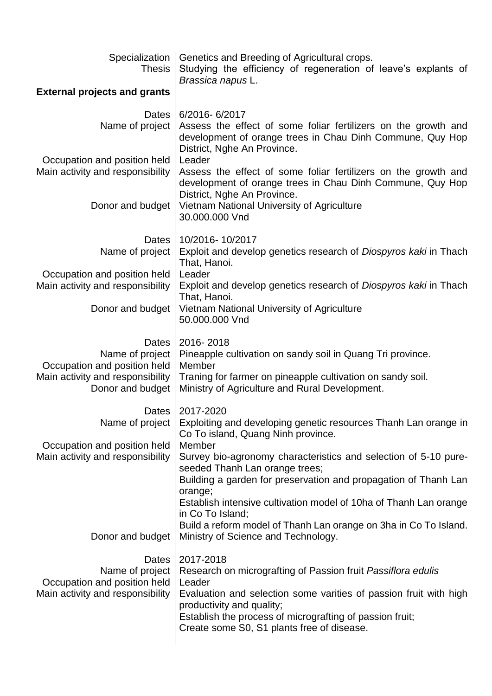| Specialization  <br><b>Thesis</b>                                                                                | Genetics and Breeding of Agricultural crops.<br>Studying the efficiency of regeneration of leave's explants of<br>Brassica napus L.                                                                                                                                                                             |
|------------------------------------------------------------------------------------------------------------------|-----------------------------------------------------------------------------------------------------------------------------------------------------------------------------------------------------------------------------------------------------------------------------------------------------------------|
| <b>External projects and grants</b>                                                                              |                                                                                                                                                                                                                                                                                                                 |
| Dates<br>Name of project                                                                                         | 6/2016-6/2017<br>Assess the effect of some foliar fertilizers on the growth and<br>development of orange trees in Chau Dinh Commune, Quy Hop<br>District, Nghe An Province.                                                                                                                                     |
| Occupation and position held<br>Main activity and responsibility                                                 | Leader<br>Assess the effect of some foliar fertilizers on the growth and<br>development of orange trees in Chau Dinh Commune, Quy Hop                                                                                                                                                                           |
| Donor and budget                                                                                                 | District, Nghe An Province.<br>Vietnam National University of Agriculture<br>30,000,000 Vnd                                                                                                                                                                                                                     |
| Dates<br>Name of project                                                                                         | 10/2016-10/2017<br>Exploit and develop genetics research of Diospyros kaki in Thach<br>That, Hanoi.                                                                                                                                                                                                             |
| Occupation and position held<br>Main activity and responsibility                                                 | Leader<br>Exploit and develop genetics research of Diospyros kaki in Thach<br>That, Hanoi.                                                                                                                                                                                                                      |
| Donor and budget                                                                                                 | Vietnam National University of Agriculture<br>50.000.000 Vnd                                                                                                                                                                                                                                                    |
| Dates<br>Name of project<br>Occupation and position held<br>Main activity and responsibility<br>Donor and budget | 2016-2018<br>Pineapple cultivation on sandy soil in Quang Tri province.<br>Member<br>Traning for farmer on pineapple cultivation on sandy soil.<br>Ministry of Agriculture and Rural Development.                                                                                                               |
| Dates<br>Name of project<br>Occupation and position held<br>Main activity and responsibility                     | 2017-2020<br>Exploiting and developing genetic resources Thanh Lan orange in<br>Co To island, Quang Ninh province.<br>Member<br>Survey bio-agronomy characteristics and selection of 5-10 pure-<br>seeded Thanh Lan orange trees;<br>Building a garden for preservation and propagation of Thanh Lan<br>orange; |
| Donor and budget                                                                                                 | Establish intensive cultivation model of 10ha of Thanh Lan orange<br>in Co To Island;<br>Build a reform model of Thanh Lan orange on 3ha in Co To Island.<br>Ministry of Science and Technology.                                                                                                                |
| Dates<br>Name of project<br>Occupation and position held<br>Main activity and responsibility                     | 2017-2018<br>Research on micrografting of Passion fruit Passiflora edulis<br>Leader<br>Evaluation and selection some varities of passion fruit with high<br>productivity and quality;<br>Establish the process of micrografting of passion fruit;<br>Create some S0, S1 plants free of disease.                 |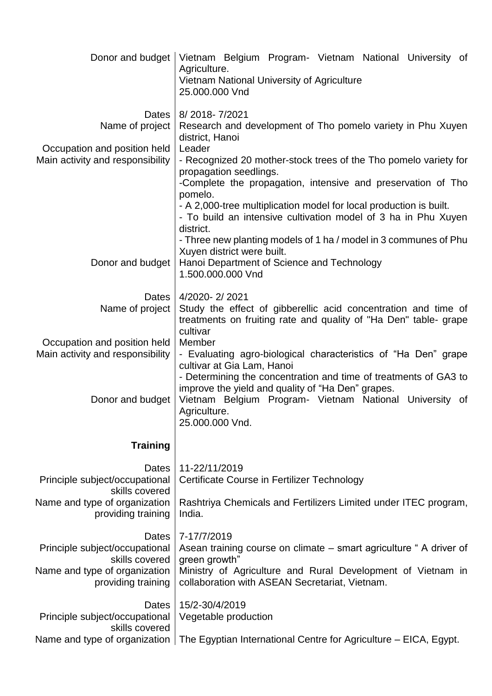| Donor and budget                                                 | Vietnam Belgium Program- Vietnam National University of<br>Agriculture.<br>Vietnam National University of Agriculture<br>25.000.000 Vnd                                                                                                                                                                                                                                                        |
|------------------------------------------------------------------|------------------------------------------------------------------------------------------------------------------------------------------------------------------------------------------------------------------------------------------------------------------------------------------------------------------------------------------------------------------------------------------------|
| Dates<br>Name of project<br>Occupation and position held         | 8/2018-7/2021<br>Research and development of Tho pomelo variety in Phu Xuyen<br>district, Hanoi<br>Leader                                                                                                                                                                                                                                                                                      |
| Main activity and responsibility                                 | - Recognized 20 mother-stock trees of the Tho pomelo variety for<br>propagation seedlings.<br>-Complete the propagation, intensive and preservation of Tho<br>pomelo.<br>- A 2,000-tree multiplication model for local production is built.<br>- To build an intensive cultivation model of 3 ha in Phu Xuyen<br>district.<br>- Three new planting models of 1 ha / model in 3 communes of Phu |
| Donor and budget                                                 | Xuyen district were built.<br>Hanoi Department of Science and Technology<br>1.500.000.000 Vnd                                                                                                                                                                                                                                                                                                  |
| Dates<br>Name of project                                         | 4/2020-2/2021<br>Study the effect of gibberellic acid concentration and time of<br>treatments on fruiting rate and quality of "Ha Den" table-grape<br>cultivar                                                                                                                                                                                                                                 |
| Occupation and position held<br>Main activity and responsibility | Member<br>- Evaluating agro-biological characteristics of "Ha Den" grape<br>cultivar at Gia Lam, Hanoi<br>- Determining the concentration and time of treatments of GA3 to                                                                                                                                                                                                                     |
| Donor and budget                                                 | improve the yield and quality of "Ha Den" grapes.<br>Vietnam Belgium Program- Vietnam National University of<br>Agriculture.<br>25.000.000 Vnd.                                                                                                                                                                                                                                                |
| <b>Training</b>                                                  |                                                                                                                                                                                                                                                                                                                                                                                                |
| Dates<br>Principle subject/occupational<br>skills covered        | 11-22/11/2019<br>Certificate Course in Fertilizer Technology                                                                                                                                                                                                                                                                                                                                   |
| Name and type of organization<br>providing training              | Rashtriya Chemicals and Fertilizers Limited under ITEC program,<br>India.                                                                                                                                                                                                                                                                                                                      |
| Dates<br>Principle subject/occupational<br>skills covered        | 7-17/7/2019<br>Asean training course on climate – smart agriculture "A driver of<br>green growth"                                                                                                                                                                                                                                                                                              |
| Name and type of organization<br>providing training              | Ministry of Agriculture and Rural Development of Vietnam in<br>collaboration with ASEAN Secretariat, Vietnam.                                                                                                                                                                                                                                                                                  |
| Dates<br>Principle subject/occupational<br>skills covered        | 15/2-30/4/2019<br>Vegetable production                                                                                                                                                                                                                                                                                                                                                         |
| Name and type of organization                                    | The Egyptian International Centre for Agriculture - EICA, Egypt.                                                                                                                                                                                                                                                                                                                               |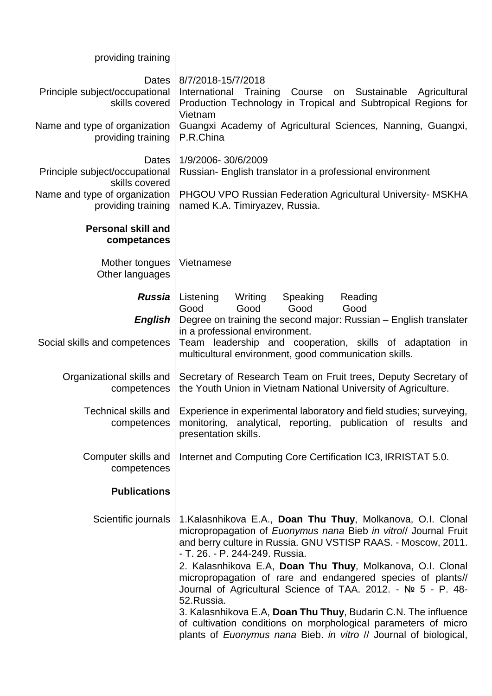## providing training

| Dates<br>Principle subject/occupational<br>skills covered<br>Name and type of organization<br>providing training | 8/7/2018-15/7/2018<br>International Training Course on Sustainable Agricultural<br>Production Technology in Tropical and Subtropical Regions for<br>Vietnam<br>Guangxi Academy of Agricultural Sciences, Nanning, Guangxi,<br>P.R.China                                                                                                                                                                                                                                                                                                                                                                                                              |
|------------------------------------------------------------------------------------------------------------------|------------------------------------------------------------------------------------------------------------------------------------------------------------------------------------------------------------------------------------------------------------------------------------------------------------------------------------------------------------------------------------------------------------------------------------------------------------------------------------------------------------------------------------------------------------------------------------------------------------------------------------------------------|
| Dates<br>Principle subject/occupational<br>skills covered                                                        | 1/9/2006-30/6/2009<br>Russian- English translator in a professional environment                                                                                                                                                                                                                                                                                                                                                                                                                                                                                                                                                                      |
| Name and type of organization<br>providing training                                                              | <b>PHGOU VPO Russian Federation Agricultural University- MSKHA</b><br>named K.A. Timiryazev, Russia.                                                                                                                                                                                                                                                                                                                                                                                                                                                                                                                                                 |
| <b>Personal skill and</b><br>competances                                                                         |                                                                                                                                                                                                                                                                                                                                                                                                                                                                                                                                                                                                                                                      |
| Mother tongues<br>Other languages                                                                                | Vietnamese                                                                                                                                                                                                                                                                                                                                                                                                                                                                                                                                                                                                                                           |
| <b>Russia</b>                                                                                                    | Listening<br>Writing<br>Speaking<br>Reading<br>Good<br>Good<br>Good<br>Good                                                                                                                                                                                                                                                                                                                                                                                                                                                                                                                                                                          |
| <b>English</b><br>Social skills and competences                                                                  | Degree on training the second major: Russian - English translater<br>in a professional environment.<br>Team leadership and cooperation, skills of adaptation<br>in<br>multicultural environment, good communication skills.                                                                                                                                                                                                                                                                                                                                                                                                                          |
| Organizational skills and<br>competences                                                                         | Secretary of Research Team on Fruit trees, Deputy Secretary of<br>the Youth Union in Vietnam National University of Agriculture.                                                                                                                                                                                                                                                                                                                                                                                                                                                                                                                     |
| Technical skills and<br>competences                                                                              | Experience in experimental laboratory and field studies; surveying,<br>monitoring, analytical, reporting, publication of results and<br>presentation skills.                                                                                                                                                                                                                                                                                                                                                                                                                                                                                         |
| Computer skills and<br>competences                                                                               | Internet and Computing Core Certification IC3, IRRISTAT 5.0.                                                                                                                                                                                                                                                                                                                                                                                                                                                                                                                                                                                         |
| <b>Publications</b>                                                                                              |                                                                                                                                                                                                                                                                                                                                                                                                                                                                                                                                                                                                                                                      |
| Scientific journals                                                                                              | 1.Kalasnhikova E.A., Doan Thu Thuy, Molkanova, O.I. Clonal<br>micropropagation of Euonymus nana Bieb in vitrol/ Journal Fruit<br>and berry culture in Russia. GNU VSTISP RAAS. - Moscow, 2011.<br>- T. 26. - P. 244-249. Russia.<br>2. Kalasnhikova E.A, Doan Thu Thuy, Molkanova, O.I. Clonal<br>micropropagation of rare and endangered species of plants//<br>Journal of Agricultural Science of TAA. 2012. - Nº 5 - P. 48-<br>52.Russia.<br>3. Kalasnhikova E.A, Doan Thu Thuy, Budarin C.N. The influence<br>of cultivation conditions on morphological parameters of micro<br>plants of Euonymus nana Bieb. in vitro // Journal of biological, |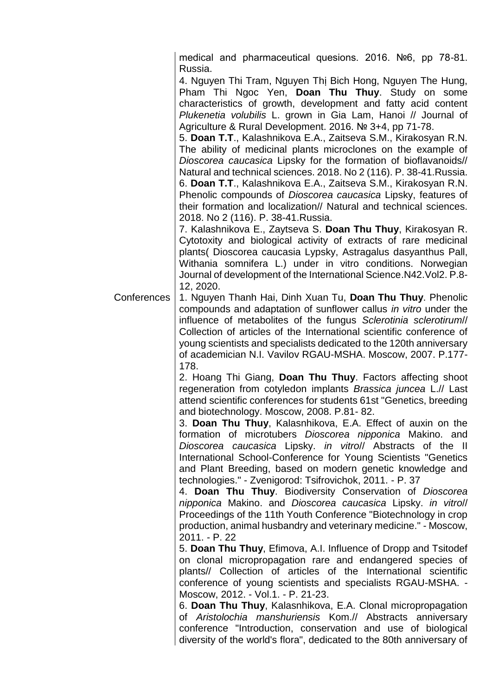medical and pharmaceutical quesions. 2016. №6, pp 78-81. Russia.

4. Nguyen Thi Tram, Nguyen Thị Bich Hong, Nguyen The Hung, Pham Thi Ngoc Yen, **Doan Thu Thuy**. Study on some characteristics of growth, development and fatty acid content *Plukenetia volubilis* L. grown in Gia Lam, Hanoi // Journal of Agriculture & Rural Development. 2016. № 3+4, pp 71-78.

5. **Doan T.T**., Kalashnikova E.A., Zaitseva S.M., Kirakosyan R.N. The ability of medicinal plants microclones on the example of *Dioscorea caucasica* Lipsky for the formation of bioflavanoids// Natural and technical sciences. 2018. No 2 (116). P. 38-41.Russia. 6. **Doan T.T**., Kalashnikova E.A., Zaitseva S.M., Kirakosyan R.N. Phenolic compounds of *Dioscorea caucasica* Lipsky, features of their formation and localization// Natural and technical sciences. 2018. No 2 (116). P. 38-41.Russia.

7. Kalashnikova E., Zaytseva S. **Doan Thu Thuy**, Kirakosyan R. Cytotoxity and biological activity of extracts of rare medicinal plants( Dioscorea caucasia Lypsky, Astragalus dasyanthus Pall, Withania somnifera L.) under in vitro conditions. Norwegian Journal of development of the International Science.N42.Vol2. P.8- 12, 2020.

Conferences 1. Nguyen Thanh Hai, Dinh Xuan Tu, **Doan Thu Thuy**. Phenolic compounds and adaptation of sunflower callus *in vitro* under the influence of metabolites of the fungus *Sclerotinia sclerotirum*// Collection of articles of the International scientific conference of young scientists and specialists dedicated to the 120th anniversary of academician N.I. Vavilov RGAU-MSHA. Moscow, 2007. P.177- 178.

> 2. Hoang Thi Giang, **Doan Thu Thuy**. Factors affecting shoot regeneration from cotyledon implants *Brassica juncea* L.// Last attend scientific conferences for students 61st "Genetics, breeding and biotechnology. Moscow, 2008. P.81- 82.

> 3. **Doan Thu Thuy**, Kalasnhikova, E.A. Effect of auxin on the formation of microtubers *Dioscorea nipponica* Makino. and *Dioscorea caucasica* Lipsky. *in vitro*// Abstracts of the II International School-Conference for Young Scientists "Genetics and Plant Breeding, based on modern genetic knowledge and technologies." - Zvenigorod: Tsifrovichok, 2011. - P. 37

> 4. **Doan Thu Thuy**. Biodiversity Conservation of *Dioscorea nipponica* Makino. and *Dioscorea caucasica* Lipsky. *in vitro*// Proceedings of the 11th Youth Conference "Biotechnology in crop production, animal husbandry and veterinary medicine." - Moscow, 2011. - P. 22

> 5. **Doan Thu Thuy**, Efimova, A.I. Influence of Dropp and Tsitodef on clonal micropropagation rare and endangered species of plants// Collection of articles of the International scientific conference of young scientists and specialists RGAU-MSHA. - Moscow, 2012. - Vol.1. - P. 21-23.

> 6. **Doan Thu Thuy**, Kalasnhikova, E.A. Clonal micropropagation of *Aristolochia manshuriensis* Kom.// Abstracts anniversary conference "Introduction, conservation and use of biological diversity of the world's flora", dedicated to the 80th anniversary of